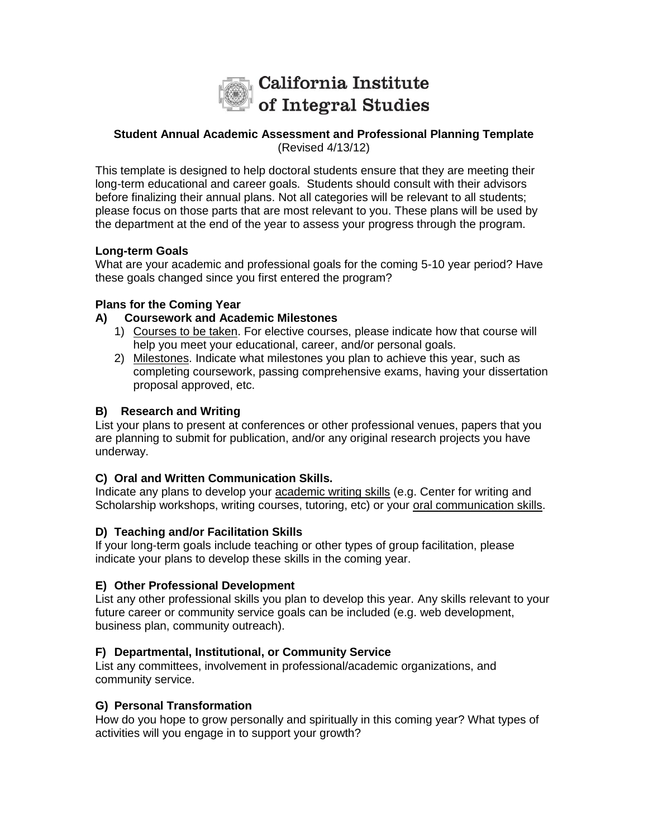

#### **Student Annual Academic Assessment and Professional Planning Template**  (Revised 4/13/12)

This template is designed to help doctoral students ensure that they are meeting their long-term educational and career goals. Students should consult with their advisors before finalizing their annual plans. Not all categories will be relevant to all students; please focus on those parts that are most relevant to you. These plans will be used by the department at the end of the year to assess your progress through the program.

# **Long-term Goals**

What are your academic and professional goals for the coming 5-10 year period? Have these goals changed since you first entered the program?

### **Plans for the Coming Year**

### **A) Coursework and Academic Milestones**

- 1) Courses to be taken. For elective courses, please indicate how that course will help you meet your educational, career, and/or personal goals.
- 2) Milestones. Indicate what milestones you plan to achieve this year, such as completing coursework, passing comprehensive exams, having your dissertation proposal approved, etc.

# **B) Research and Writing**

List your plans to present at conferences or other professional venues, papers that you are planning to submit for publication, and/or any original research projects you have underway.

### **C) Oral and Written Communication Skills.**

Indicate any plans to develop your academic writing skills (e.g. Center for writing and Scholarship workshops, writing courses, tutoring, etc) or your oral communication skills.

### **D) Teaching and/or Facilitation Skills**

If your long-term goals include teaching or other types of group facilitation, please indicate your plans to develop these skills in the coming year.

### **E) Other Professional Development**

List any other professional skills you plan to develop this year. Any skills relevant to your future career or community service goals can be included (e.g. web development, business plan, community outreach).

# **F) Departmental, Institutional, or Community Service**

List any committees, involvement in professional/academic organizations, and community service.

### **G) Personal Transformation**

How do you hope to grow personally and spiritually in this coming year? What types of activities will you engage in to support your growth?